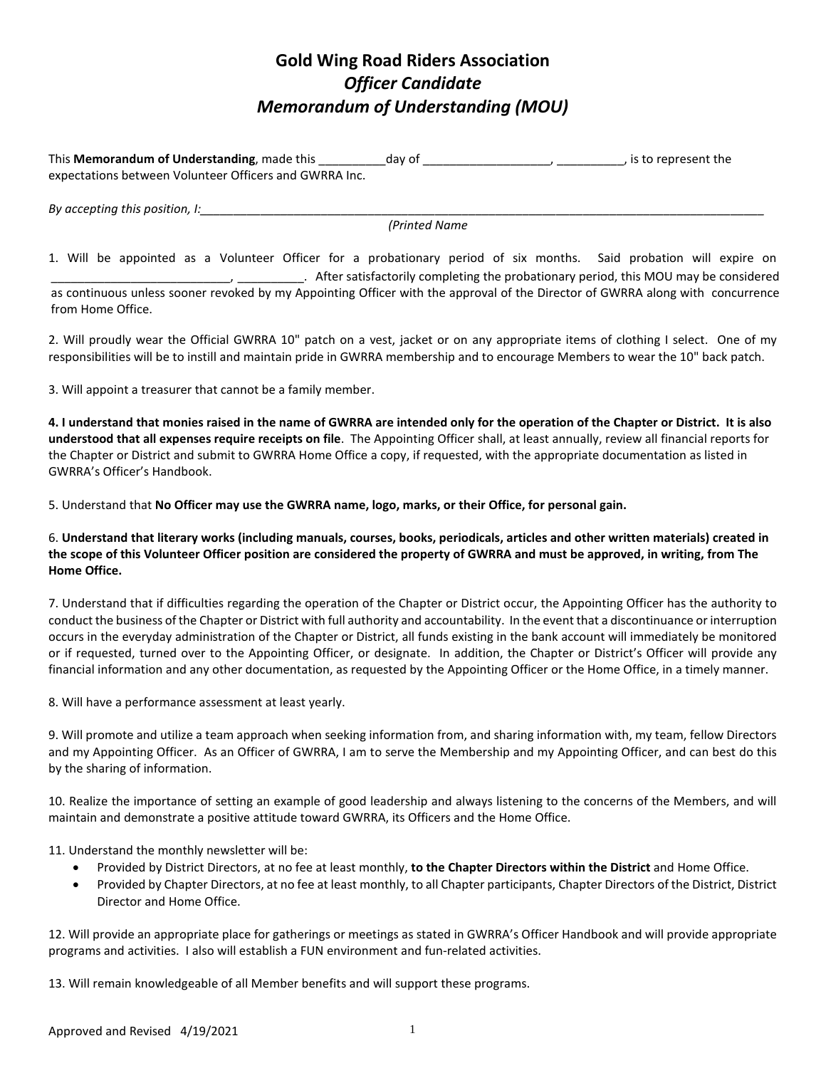## **Gold Wing Road Riders Association** *Officer Candidate Memorandum of Understanding (MOU)*

This **Memorandum of Understanding**, made this \_\_\_\_\_\_\_\_\_\_day of \_\_\_\_\_\_\_\_\_\_\_\_\_\_\_\_\_\_\_\_\_\_\_, is to represent the expectations between Volunteer Officers and GWRRA Inc.

*By accepting this position, I:* 

*(Printed Name*

1. Will be appointed as a Volunteer Officer for a probationary period of six months. Said probation will expire on \_\_\_\_\_\_\_\_\_\_\_\_\_\_\_\_\_\_\_\_\_\_\_\_\_\_\_, \_\_\_\_\_\_\_\_\_\_. After satisfactorily completing the probationary period, this MOU may be considered as continuous unless sooner revoked by my Appointing Officer with the approval of the Director of GWRRA along with concurrence from Home Office.

2. Will proudly wear the Official GWRRA 10" patch on a vest, jacket or on any appropriate items of clothing I select. One of my responsibilities will be to instill and maintain pride in GWRRA membership and to encourage Members to wear the 10" back patch.

3. Will appoint a treasurer that cannot be a family member.

**4. I understand that monies raised in the name of GWRRA are intended only for the operation of the Chapter or District. It is also understood that all expenses require receipts on file**. The Appointing Officer shall, at least annually, review all financial reports for the Chapter or District and submit to GWRRA Home Office a copy, if requested, with the appropriate documentation as listed in GWRRA's Officer's Handbook.

5. Understand that **No Officer may use the GWRRA name, logo, marks, or their Office, for personal gain.**

6. **Understand that literary works (including manuals, courses, books, periodicals, articles and other written materials) created in the scope of this Volunteer Officer position are considered the property of GWRRA and must be approved, in writing, from The Home Office.**

7. Understand that if difficulties regarding the operation of the Chapter or District occur, the Appointing Officer has the authority to conduct the business of the Chapter or District with full authority and accountability. In the event that a discontinuance or interruption occurs in the everyday administration of the Chapter or District, all funds existing in the bank account will immediately be monitored or if requested, turned over to the Appointing Officer, or designate. In addition, the Chapter or District's Officer will provide any financial information and any other documentation, as requested by the Appointing Officer or the Home Office, in a timely manner.

8. Will have a performance assessment at least yearly.

9. Will promote and utilize a team approach when seeking information from, and sharing information with, my team, fellow Directors and my Appointing Officer. As an Officer of GWRRA, I am to serve the Membership and my Appointing Officer, and can best do this by the sharing of information.

10. Realize the importance of setting an example of good leadership and always listening to the concerns of the Members, and will maintain and demonstrate a positive attitude toward GWRRA, its Officers and the Home Office.

11. Understand the monthly newsletter will be:

- Provided by District Directors, at no fee at least monthly, **to the Chapter Directors within the District** and Home Office.
- Provided by Chapter Directors, at no fee at least monthly, to all Chapter participants, Chapter Directors of the District, District Director and Home Office.

12. Will provide an appropriate place for gatherings or meetings as stated in GWRRA's Officer Handbook and will provide appropriate programs and activities. I also will establish a FUN environment and fun-related activities.

13. Will remain knowledgeable of all Member benefits and will support these programs.